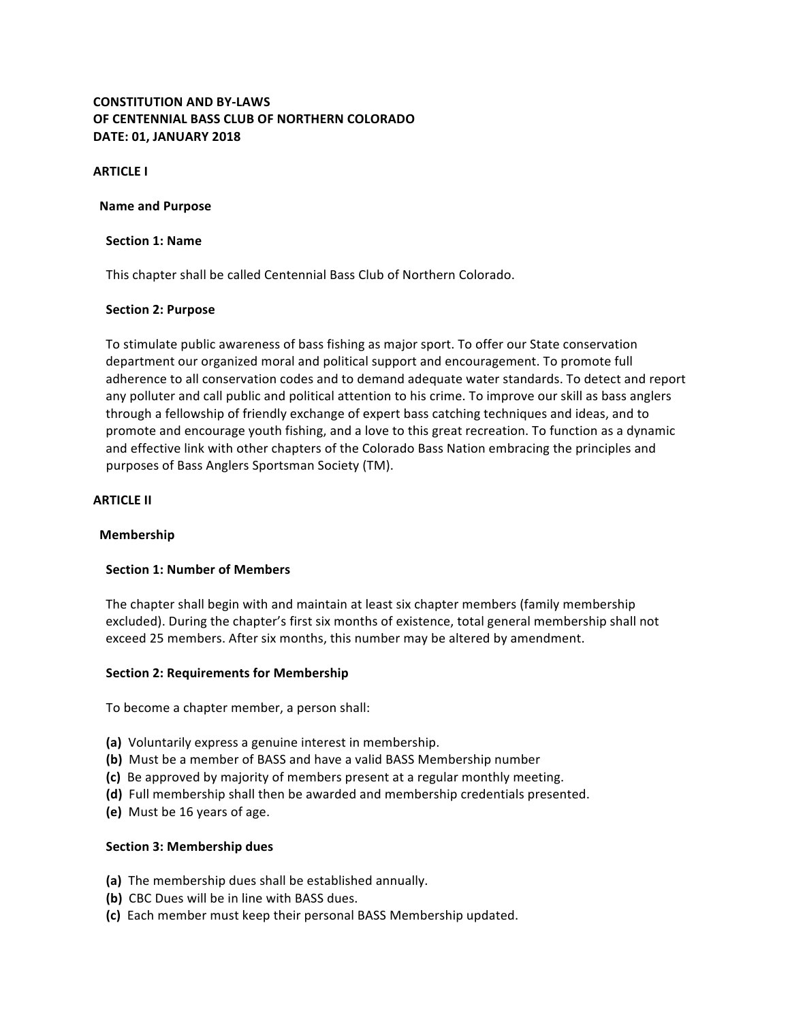# **CONSTITUTION AND BY-LAWS OF CENTENNIAL BASS CLUB OF NORTHERN COLORADO DATE: 01, JANUARY 2018**

**ARTICLE I** 

#### **Name and Purpose**

#### **Section 1: Name**

This chapter shall be called Centennial Bass Club of Northern Colorado.

### **Section 2: Purpose**

To stimulate public awareness of bass fishing as major sport. To offer our State conservation department our organized moral and political support and encouragement. To promote full adherence to all conservation codes and to demand adequate water standards. To detect and report any polluter and call public and political attention to his crime. To improve our skill as bass anglers through a fellowship of friendly exchange of expert bass catching techniques and ideas, and to promote and encourage youth fishing, and a love to this great recreation. To function as a dynamic and effective link with other chapters of the Colorado Bass Nation embracing the principles and purposes of Bass Anglers Sportsman Society (TM).

#### **ARTICLE II**

#### **Membership**

### **Section 1: Number of Members**

The chapter shall begin with and maintain at least six chapter members (family membership excluded). During the chapter's first six months of existence, total general membership shall not exceed 25 members. After six months, this number may be altered by amendment.

#### **Section 2: Requirements for Membership**

To become a chapter member, a person shall:

- **(a)** Voluntarily express a genuine interest in membership.
- **(b)** Must be a member of BASS and have a valid BASS Membership number
- **(c)** Be approved by majority of members present at a regular monthly meeting.
- **(d)** Full membership shall then be awarded and membership credentials presented.
- **(e)** Must be 16 years of age.

#### **Section 3: Membership dues**

- **(a)** The membership dues shall be established annually.
- **(b)** CBC Dues will be in line with BASS dues.
- **(c)** Each member must keep their personal BASS Membership updated.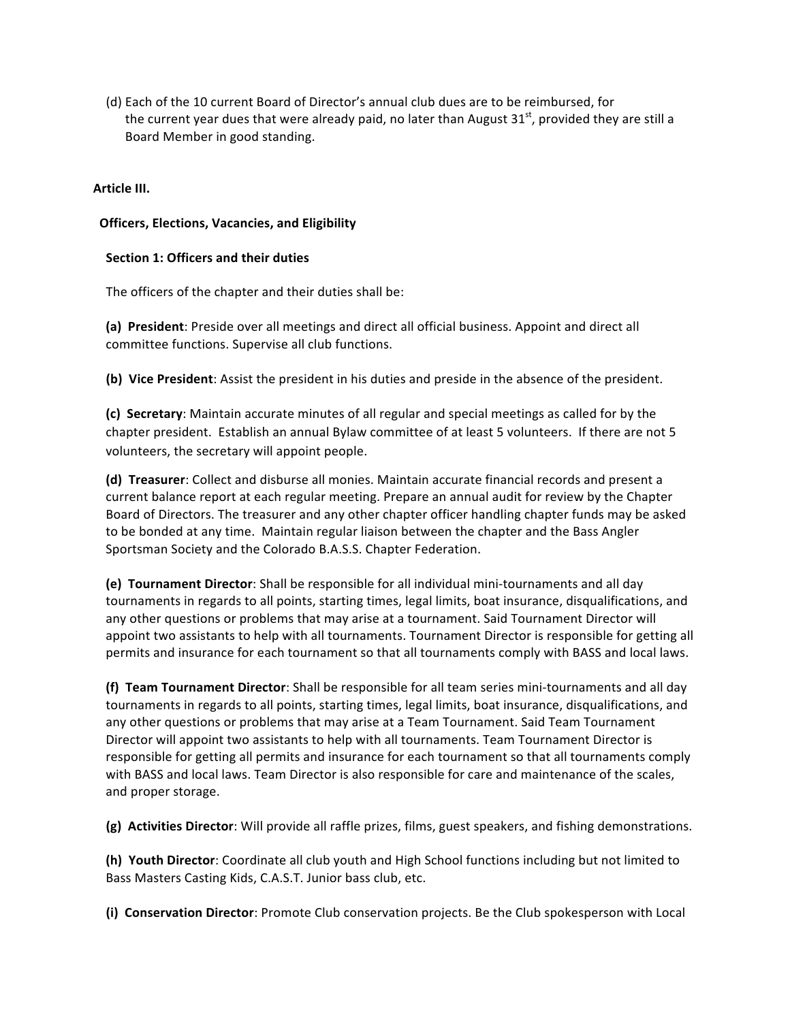(d) Each of the 10 current Board of Director's annual club dues are to be reimbursed, for the current year dues that were already paid, no later than August  $31<sup>st</sup>$ , provided they are still a Board Member in good standing.

### **Article III.**

### **Officers, Elections, Vacancies, and Eligibility**

### **Section 1: Officers and their duties**

The officers of the chapter and their duties shall be:

**(a)** President: Preside over all meetings and direct all official business. Appoint and direct all committee functions. Supervise all club functions.

**(b)** Vice President: Assist the president in his duties and preside in the absence of the president.

**(c) Secretary**: Maintain accurate minutes of all regular and special meetings as called for by the chapter president. Establish an annual Bylaw committee of at least 5 volunteers. If there are not 5 volunteers, the secretary will appoint people.

**(d) Treasurer**: Collect and disburse all monies. Maintain accurate financial records and present a current balance report at each regular meeting. Prepare an annual audit for review by the Chapter Board of Directors. The treasurer and any other chapter officer handling chapter funds may be asked to be bonded at any time. Maintain regular liaison between the chapter and the Bass Angler Sportsman Society and the Colorado B.A.S.S. Chapter Federation.

**(e) Tournament Director**: Shall be responsible for all individual mini-tournaments and all day tournaments in regards to all points, starting times, legal limits, boat insurance, disqualifications, and any other questions or problems that may arise at a tournament. Said Tournament Director will appoint two assistants to help with all tournaments. Tournament Director is responsible for getting all permits and insurance for each tournament so that all tournaments comply with BASS and local laws.

**(f) Team Tournament Director**: Shall be responsible for all team series mini-tournaments and all day tournaments in regards to all points, starting times, legal limits, boat insurance, disqualifications, and any other questions or problems that may arise at a Team Tournament. Said Team Tournament Director will appoint two assistants to help with all tournaments. Team Tournament Director is responsible for getting all permits and insurance for each tournament so that all tournaments comply with BASS and local laws. Team Director is also responsible for care and maintenance of the scales, and proper storage.

**(g)** Activities Director: Will provide all raffle prizes, films, guest speakers, and fishing demonstrations.

**(h) Youth Director**: Coordinate all club youth and High School functions including but not limited to Bass Masters Casting Kids, C.A.S.T. Junior bass club, etc.

**(i) Conservation Director**: Promote Club conservation projects. Be the Club spokesperson with Local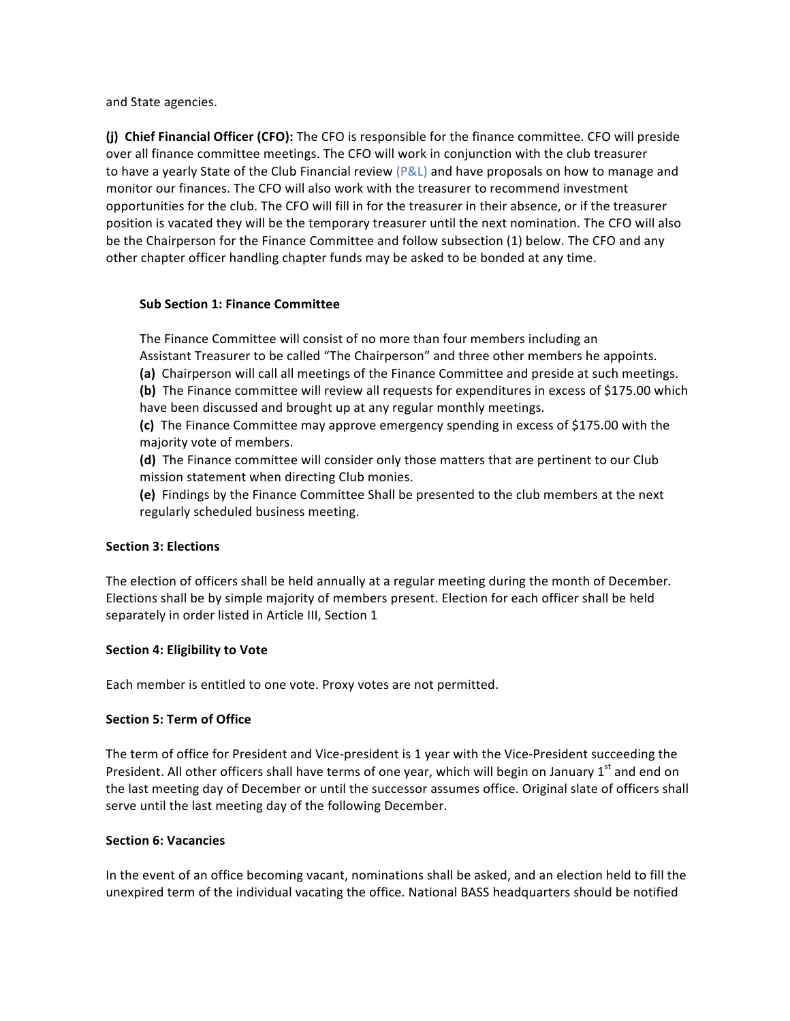and State agencies.

**(i)** Chief Financial Officer (CFO): The CFO is responsible for the finance committee. CFO will preside over all finance committee meetings. The CFO will work in conjunction with the club treasurer to have a yearly State of the Club Financial review  $(P&L)$  and have proposals on how to manage and monitor our finances. The CFO will also work with the treasurer to recommend investment opportunities for the club. The CFO will fill in for the treasurer in their absence, or if the treasurer position is vacated they will be the temporary treasurer until the next nomination. The CFO will also be the Chairperson for the Finance Committee and follow subsection (1) below. The CFO and any other chapter officer handling chapter funds may be asked to be bonded at any time.

#### **Sub Section 1: Finance Committee**

The Finance Committee will consist of no more than four members including an Assistant Treasurer to be called "The Chairperson" and three other members he appoints.

**(a)** Chairperson will call all meetings of the Finance Committee and preside at such meetings. **(b)** The Finance committee will review all requests for expenditures in excess of \$175.00 which

have been discussed and brought up at any regular monthly meetings.

**(c)** The Finance Committee may approve emergency spending in excess of \$175.00 with the majority vote of members.

**(d)** The Finance committee will consider only those matters that are pertinent to our Club mission statement when directing Club monies.

**(e)** Findings by the Finance Committee Shall be presented to the club members at the next regularly scheduled business meeting.

### **Section 3: Elections**

The election of officers shall be held annually at a regular meeting during the month of December. Elections shall be by simple majority of members present. Election for each officer shall be held separately in order listed in Article III, Section 1

#### **Section 4: Eligibility to Vote**

Each member is entitled to one vote. Proxy votes are not permitted.

### **Section 5: Term of Office**

The term of office for President and Vice-president is 1 year with the Vice-President succeeding the President. All other officers shall have terms of one year, which will begin on January  $1<sup>st</sup>$  and end on the last meeting day of December or until the successor assumes office. Original slate of officers shall serve until the last meeting day of the following December.

#### **Section 6: Vacancies**

In the event of an office becoming vacant, nominations shall be asked, and an election held to fill the unexpired term of the individual vacating the office. National BASS headquarters should be notified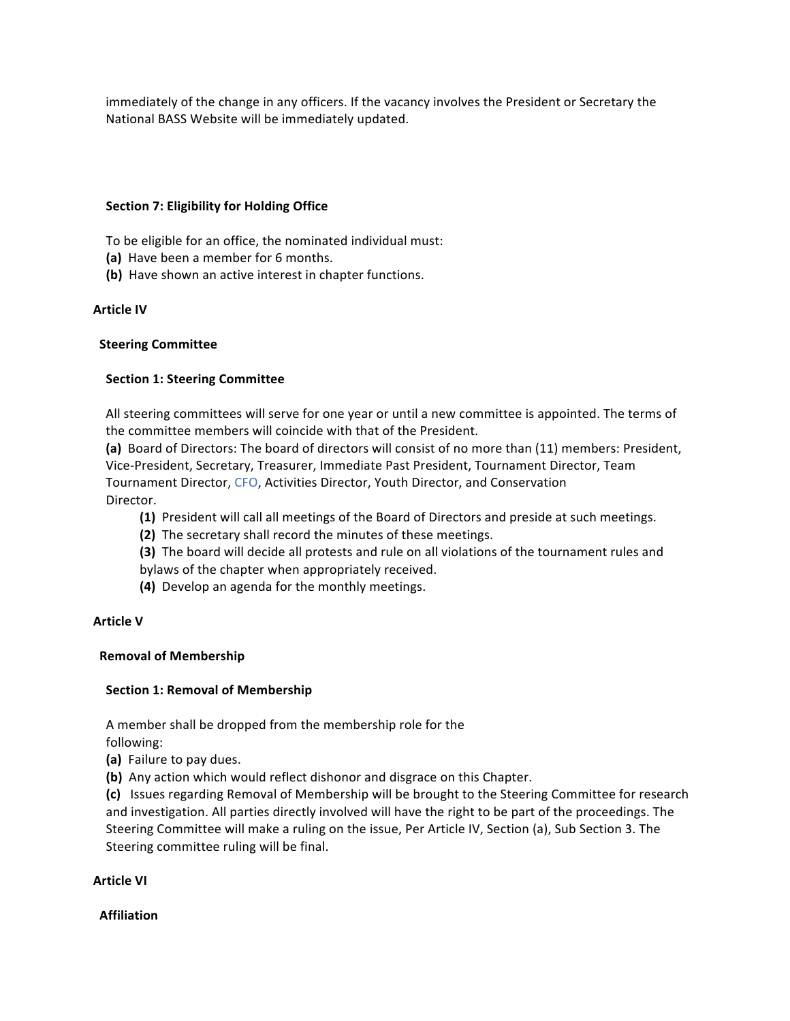immediately of the change in any officers. If the vacancy involves the President or Secretary the National BASS Website will be immediately updated.

### **Section 7: Eligibility for Holding Office**

To be eligible for an office, the nominated individual must:

- **(a)** Have been a member for 6 months.
- **(b)** Have shown an active interest in chapter functions.

# **Article IV**

### **Steering Committee**

# **Section 1: Steering Committee**

All steering committees will serve for one year or until a new committee is appointed. The terms of the committee members will coincide with that of the President.

(a) Board of Directors: The board of directors will consist of no more than (11) members: President, Vice-President, Secretary, Treasurer, Immediate Past President, Tournament Director, Team Tournament Director, CFO, Activities Director, Youth Director, and Conservation Director.

- **(1)** President will call all meetings of the Board of Directors and preside at such meetings.
- **(2)** The secretary shall record the minutes of these meetings.
- **(3)** The board will decide all protests and rule on all violations of the tournament rules and
- bylaws of the chapter when appropriately received.
- **(4)** Develop an agenda for the monthly meetings.

### **Article V**

### **Removal of Membership**

# **Section 1: Removal of Membership**

A member shall be dropped from the membership role for the following:

- **(a)** Failure to pay dues.
- **(b)** Any action which would reflect dishonor and disgrace on this Chapter.

(c) Issues regarding Removal of Membership will be brought to the Steering Committee for research and investigation. All parties directly involved will have the right to be part of the proceedings. The Steering Committee will make a ruling on the issue, Per Article IV, Section (a), Sub Section 3. The Steering committee ruling will be final.

### **Article VI**

### **Affiliation**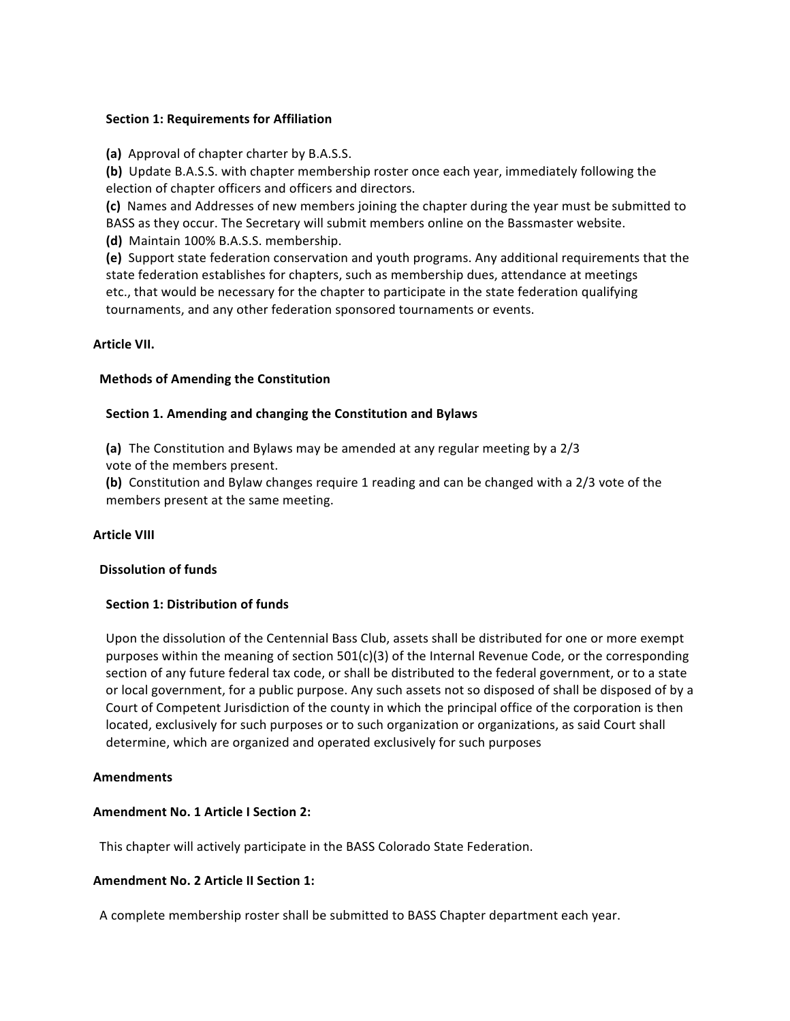#### **Section 1: Requirements for Affiliation**

**(a)** Approval of chapter charter by B.A.S.S.

**(b)** Update B.A.S.S. with chapter membership roster once each year, immediately following the election of chapter officers and officers and directors.

(c) Names and Addresses of new members joining the chapter during the year must be submitted to BASS as they occur. The Secretary will submit members online on the Bassmaster website.

 **(d)** Maintain 100% B.A.S.S. membership.

**(e)** Support state federation conservation and youth programs. Any additional requirements that the state federation establishes for chapters, such as membership dues, attendance at meetings etc., that would be necessary for the chapter to participate in the state federation qualifying tournaments, and any other federation sponsored tournaments or events.

### **Article VII.**

# **Methods of Amending the Constitution**

# **Section 1. Amending and changing the Constitution and Bylaws**

**(a)** The Constitution and Bylaws may be amended at any regular meeting by a 2/3 vote of the members present.

**(b)** Constitution and Bylaw changes require 1 reading and can be changed with a 2/3 vote of the members present at the same meeting.

### **Article VIII**

### **Dissolution of funds**

### **Section 1: Distribution of funds**

Upon the dissolution of the Centennial Bass Club, assets shall be distributed for one or more exempt purposes within the meaning of section  $501(c)(3)$  of the Internal Revenue Code, or the corresponding section of any future federal tax code, or shall be distributed to the federal government, or to a state or local government, for a public purpose. Any such assets not so disposed of shall be disposed of by a Court of Competent Jurisdiction of the county in which the principal office of the corporation is then located, exclusively for such purposes or to such organization or organizations, as said Court shall determine, which are organized and operated exclusively for such purposes

### **Amendments**

### **Amendment No. 1 Article I Section 2:**

This chapter will actively participate in the BASS Colorado State Federation.

### **Amendment No. 2 Article II Section 1:**

A complete membership roster shall be submitted to BASS Chapter department each year.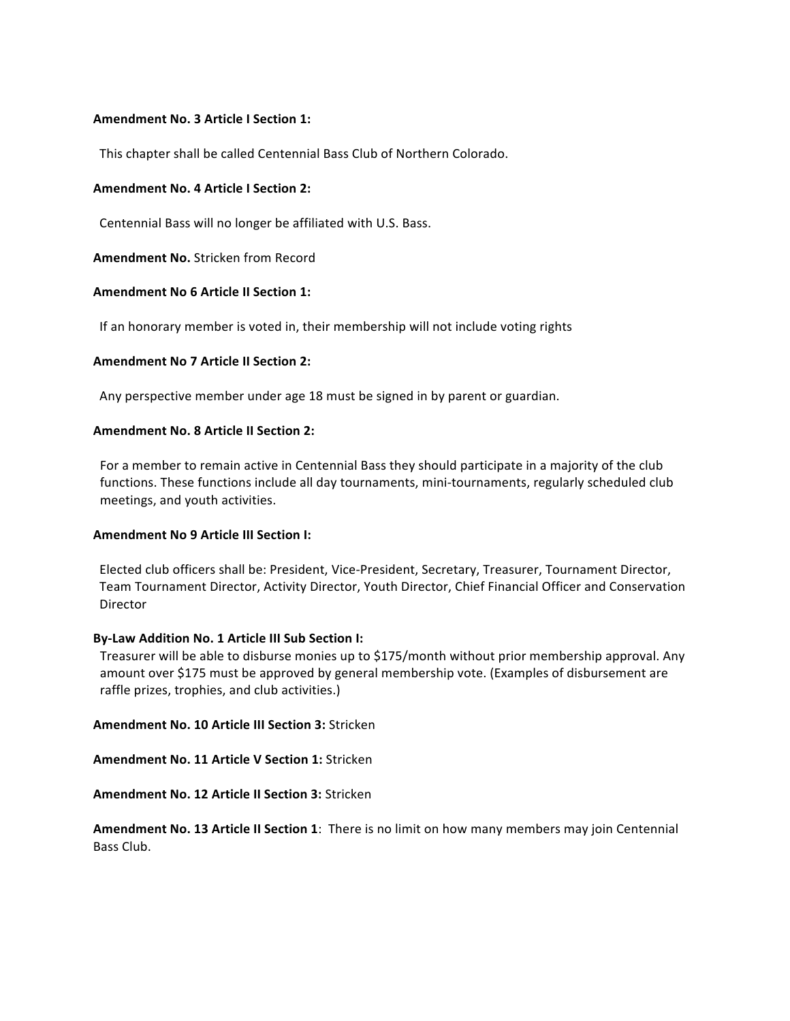#### **Amendment No. 3 Article I Section 1:**

This chapter shall be called Centennial Bass Club of Northern Colorado.

#### **Amendment No. 4 Article I Section 2:**

Centennial Bass will no longer be affiliated with U.S. Bass.

**Amendment No.** Stricken from Record

#### **Amendment No 6 Article II Section 1:**

If an honorary member is voted in, their membership will not include voting rights

#### **Amendment No 7 Article II Section 2:**

Any perspective member under age 18 must be signed in by parent or guardian.

#### **Amendment No. 8 Article II Section 2:**

For a member to remain active in Centennial Bass they should participate in a majority of the club functions. These functions include all day tournaments, mini-tournaments, regularly scheduled club meetings, and youth activities.

#### **Amendment No 9 Article III Section I:**

Elected club officers shall be: President, Vice-President, Secretary, Treasurer, Tournament Director, Team Tournament Director, Activity Director, Youth Director, Chief Financial Officer and Conservation **Director** 

#### **By-Law Addition No. 1 Article III Sub Section I:**

Treasurer will be able to disburse monies up to \$175/month without prior membership approval. Any amount over \$175 must be approved by general membership vote. (Examples of disbursement are raffle prizes, trophies, and club activities.)

#### **Amendment No. 10 Article III Section 3: Stricken**

**Amendment No. 11 Article V Section 1: Stricken** 

**Amendment No. 12 Article II Section 3: Stricken** 

**Amendment No. 13 Article II Section 1:** There is no limit on how many members may join Centennial Bass Club.